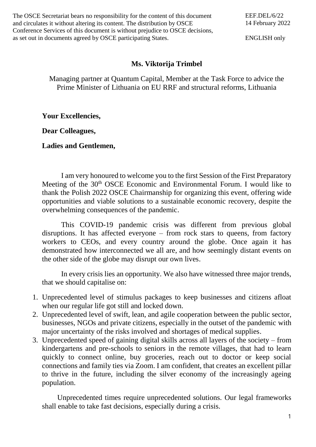The OSCE Secretariat bears no responsibility for the content of this document and circulates it without altering its content. The distribution by OSCE Conference Services of this document is without prejudice to OSCE decisions, as set out in documents agreed by OSCE participating States.

ENGLISH only

## **Ms. Viktorija Trimbel**

Managing partner at Quantum Capital, Member at the Task Force to advice the Prime Minister of Lithuania on EU RRF and structural reforms, Lithuania

**Your Excellencies,** 

**Dear Colleagues,**

**Ladies and Gentlemen,**

I am very honoured to welcome you to the first Session of the First Preparatory Meeting of the 30<sup>th</sup> OSCE Economic and Environmental Forum. I would like to thank the Polish 2022 OSCE Chairmanship for organizing this event, offering wide opportunities and viable solutions to a sustainable economic recovery, despite the overwhelming consequences of the pandemic.

This COVID-19 pandemic crisis was different from previous global disruptions. It has affected everyone – from rock stars to queens, from factory workers to CEOs, and every country around the globe. Once again it has demonstrated how interconnected we all are, and how seemingly distant events on the other side of the globe may disrupt our own lives.

In every crisis lies an opportunity. We also have witnessed three major trends, that we should capitalise on:

- 1. Unprecedented level of stimulus packages to keep businesses and citizens afloat when our regular life got still and locked down.
- 2. Unprecedented level of swift, lean, and agile cooperation between the public sector, businesses, NGOs and private citizens, especially in the outset of the pandemic with major uncertainty of the risks involved and shortages of medical supplies.
- 3. Unprecedented speed of gaining digital skills across all layers of the society from kindergartens and pre-schools to seniors in the remote villages, that had to learn quickly to connect online, buy groceries, reach out to doctor or keep social connections and family ties via Zoom. I am confident, that creates an excellent pillar to thrive in the future, including the silver economy of the increasingly ageing population.

Unprecedented times require unprecedented solutions. Our legal frameworks shall enable to take fast decisions, especially during a crisis.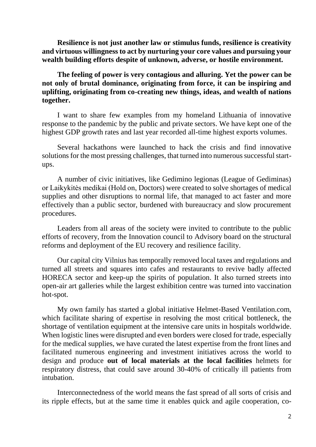**Resilience is not just another law or stimulus funds, resilience is creativity and virtuous willingness to act by nurturing your core values and pursuing your wealth building efforts despite of unknown, adverse, or hostile environment.** 

**The feeling of power is very contagious and alluring. Yet the power can be not only of brutal dominance, originating from force, it can be inspiring and uplifting, originating from co-creating new things, ideas, and wealth of nations together.**

I want to share few examples from my homeland Lithuania of innovative response to the pandemic by the public and private sectors. We have kept one of the highest GDP growth rates and last year recorded all-time highest exports volumes.

Several hackathons were launched to hack the crisis and find innovative solutions for the most pressing challenges, that turned into numerous successful startups.

A number of civic initiatives, like Gedimino legionas (League of Gediminas) or Laikykitės medikai (Hold on, Doctors) were created to solve shortages of medical supplies and other disruptions to normal life, that managed to act faster and more effectively than a public sector, burdened with bureaucracy and slow procurement procedures.

Leaders from all areas of the society were invited to contribute to the public efforts of recovery, from the Innovation council to Advisory board on the structural reforms and deployment of the EU recovery and resilience facility.

Our capital city Vilnius has temporally removed local taxes and regulations and turned all streets and squares into cafes and restaurants to revive badly affected HORECA sector and keep-up the spirits of population. It also turned streets into open-air art galleries while the largest exhibition centre was turned into vaccination hot-spot.

My own family has started a global initiative Helmet-Based Ventilation.com, which facilitate sharing of expertise in resolving the most critical bottleneck, the shortage of ventilation equipment at the intensive care units in hospitals worldwide. When logistic lines were disrupted and even borders were closed for trade, especially for the medical supplies, we have curated the latest expertise from the front lines and facilitated numerous engineering and investment initiatives across the world to design and produce **out of local materials at the local facilities** helmets for respiratory distress, that could save around 30-40% of critically ill patients from intubation.

Interconnectedness of the world means the fast spread of all sorts of crisis and its ripple effects, but at the same time it enables quick and agile cooperation, co